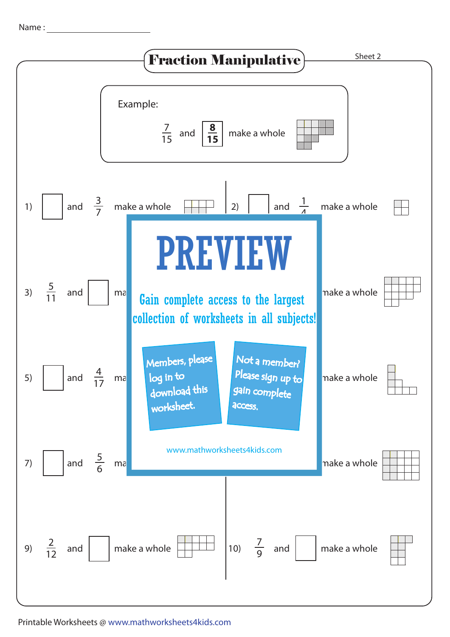